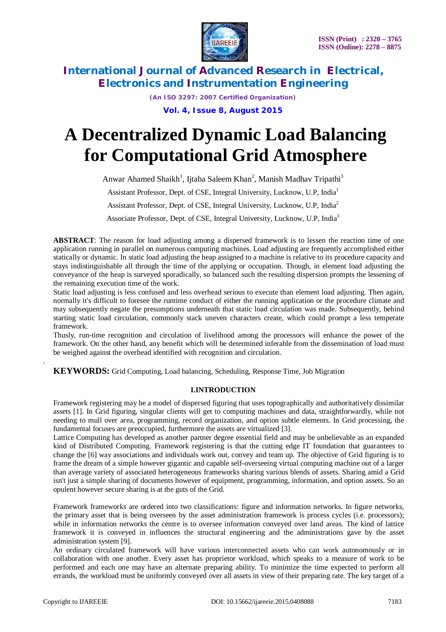

*(An ISO 3297: 2007 Certified Organization)* **Vol. 4, Issue 8, August 2015**

# **A Decentralized Dynamic Load Balancing for Computational Grid Atmosphere**

Anwar Ahamed Shaikh<sup>1</sup>, Ijtaba Saleem Khan<sup>2</sup>, Manish Madhav Tripathi<sup>3</sup> Assistant Professor, Dept. of CSE, Integral University, Lucknow, U.P, India<sup>1</sup> Assistant Professor, Dept. of CSE, Integral University, Lucknow, U.P, India<sup>2</sup>

Associate Professor, Dept. of CSE, Integral University, Lucknow, U.P, India<sup>3</sup>

**ABSTRACT**: The reason for load adjusting among a dispersed framework is to lessen the reaction time of one application running in parallel on numerous computing machines. Load adjusting are frequently accomplished either statically or dynamic. In static load adjusting the heap assigned to a machine is relative to its procedure capacity and stays indistinguishable all through the time of the applying or occupation. Though, in element load adjusting the conveyance of the heap is surveyed sporadically, so balanced such the resulting dispersion prompts the lessening of the remaining execution time of the work.

Static load adjusting is less confused and less overhead serious to execute than element load adjusting. Then again, normally it's difficult to foresee the runtime conduct of either the running application or the procedure climate and may subsequently negate the presumptions underneath that static load circulation was made. Subsequently, behind starting static load circulation, commonly stack uneven characters create, which could prompt a less temperate framework.

Thusly, run-time recognition and circulation of livelihood among the processors will enhance the power of the framework. On the other hand, any benefit which will be determined inferable from the dissemination of load must be weighed against the overhead identified with recognition and circulation.

**KEYWORDS:** Grid Computing, Load balancing, Scheduling, Response Time, Job Migration

# **I.INTRODUCTION**

Framework registering may be a model of dispersed figuring that uses topographically and authoritatively dissimilar assets [1]. In Grid figuring, singular clients will get to computing machines and data, straightforwardly, while not needing to mull over area, programming, record organization, and option subtle elements. In Grid processing, the fundamental focuses are preoccupied, furthermore the assets are virtualized [3].

Lattice Computing has developed as another partner degree essential field and may be unbelievable as an expanded kind of Distributed Computing. Framework registering is that the cutting edge IT foundation that guarantees to change the [6] way associations and individuals work out, convey and team up. The objective of Grid figuring is to frame the dream of a simple however gigantic and capable self-overseeing virtual computing machine out of a larger than average variety of associated heterogeneous frameworks sharing various blends of assets. Sharing amid a Grid isn't just a simple sharing of documents however of equipment, programming, information, and option assets. So an opulent however secure sharing is at the guts of the Grid.

Framework frameworks are ordered into two classifications: figure and information networks. In figure networks, the primary asset that is being overseen by the asset administration framework is process cycles (i.e. processors); while in information networks the centre is to oversee information conveyed over land areas. The kind of lattice framework it is conveyed in influences the structural engineering and the administrations gave by the asset administration system [9].

An ordinary circulated framework will have various interconnected assets who can work autonomously or in collaboration with one another. Every asset has proprietor workload, which speaks to a measure of work to be performed and each one may have an alternate preparing ability. To minimize the time expected to perform all errands, the workload must be uniformly conveyed over all assets in view of their preparing rate. The key target of a

.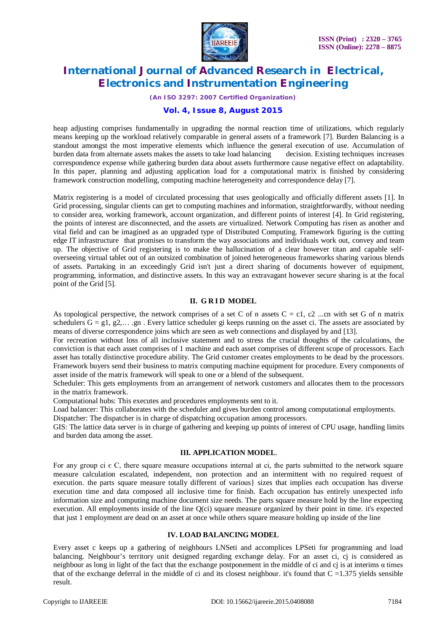

*(An ISO 3297: 2007 Certified Organization)*

## **Vol. 4, Issue 8, August 2015**

heap adjusting comprises fundamentally in upgrading the normal reaction time of utilizations, which regularly means keeping up the workload relatively comparable in general assets of a framework [7]. Burden Balancing is a standout amongst the most imperative elements which influence the general execution of use. Accumulation of burden data from alternate assets makes the assets to take load balancing decision. Existing techniques increases correspondence expense while gathering burden data about assets furthermore cause negative effect on adaptability. In this paper, planning and adjusting application load for a computational matrix is finished by considering framework construction modelling, computing machine heterogeneity and correspondence delay [7].

Matrix registering is a model of circulated processing that uses geologically and officially different assets [1]. In Grid processing, singular clients can get to computing machines and information, straightforwardly, without needing to consider area, working framework, account organization, and different points of interest [4]. In Grid registering, the points of interest are disconnected, and the assets are virtualized. Network Computing has risen as another and vital field and can be imagined as an upgraded type of Distributed Computing. Framework figuring is the cutting edge IT infrastructure that promises to transform the way associations and individuals work out, convey and team up. The objective of Grid registering is to make the hallucination of a clear however titan and capable selfoverseeing virtual tablet out of an outsized combination of joined heterogeneous frameworks sharing various blends of assets. Partaking in an exceedingly Grid isn't just a direct sharing of documents however of equipment, programming, information, and distinctive assets. In this way an extravagant however secure sharing is at the focal point of the Grid [5].

## **II. G R I D MODEL**

As topological perspective, the network comprises of a set C of n assets  $C = c1$ ,  $c2$  ...cn with set G of n matrix schedulers  $G = g1, g2,... g$ n. Every lattice scheduler gi keeps running on the asset ci. The assets are associated by means of diverse correspondence joins which are seen as web connections and displayed by and [13].

For recreation without loss of all inclusive statement and to stress the crucial thoughts of the calculations, the conviction is that each asset comprises of 1 machine and each asset comprises of different scope of processors. Each asset has totally distinctive procedure ability. The Grid customer creates employments to be dead by the processors. Framework buyers send their business to matrix computing machine equipment for procedure. Every components of asset inside of the matrix framework will speak to one or a blend of the subsequent.

Scheduler: This gets employments from an arrangement of network customers and allocates them to the processors in the matrix framework.

Computational hubs: This executes and procedures employments sent to it.

Load balancer: This collaborates with the scheduler and gives burden control among computational employments.

Dispatcher: The dispatcher is in charge of dispatching occupation among processors.

GIS: The lattice data server is in charge of gathering and keeping up points of interest of CPU usage, handling limits and burden data among the asset.

# **III. APPLICATION MODEL**.

For any group ci  $\epsilon$  C, there square measure occupations internal at ci, the parts submitted to the network square measure calculation escalated, independent, non protection and an intermittent with no required request of execution. the parts square measure totally different of various} sizes that implies each occupation has diverse execution time and data composed all inclusive time for finish. Each occupation has entirely unexpected info information size and computing machine document size needs. The parts square measure hold by the line expecting execution. All employments inside of the line Q(ci) square measure organized by their point in time. it's expected that just 1 employment are dead on an asset at once while others square measure holding up inside of the line

#### **IV. LOAD BALANCING MODEL**

Every asset c keeps up a gathering of neighbours LNSeti and accomplices LPSeti for programming and load balancing. Neighbour's territory unit designed regarding exchange delay. For an asset ci, cj is considered as neighbour as long in light of the fact that the exchange postponement in the middle of ci and ci is at interims  $\alpha$  times that of the exchange deferral in the middle of ci and its closest neighbour. it's found that  $C = 1.375$  yields sensible result.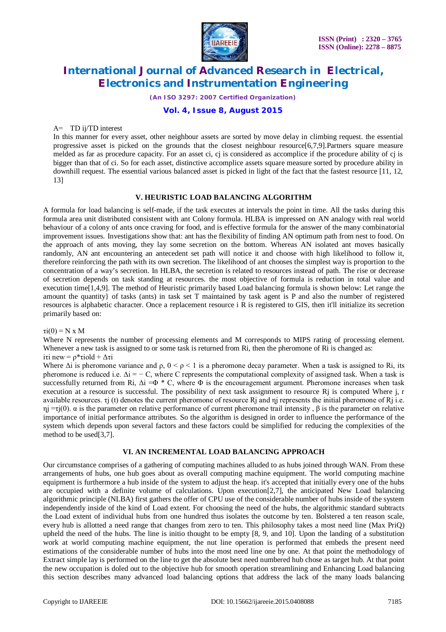

*(An ISO 3297: 2007 Certified Organization)*

# **Vol. 4, Issue 8, August 2015**

#### Α= TD ij/TD interest

In this manner for every asset, other neighbour assets are sorted by move delay in climbing request. the essential progressive asset is picked on the grounds that the closest neighbour resource[6,7,9].Partners square measure melded as far as procedure capacity. For an asset ci, ci is considered as accomplice if the procedure ability of ci is bigger than that of ci. So for each asset, distinctive accomplice assets square measure sorted by procedure ability in downhill request. The essential various balanced asset is picked in light of the fact that the fastest resource [11, 12, 13]

## **V. HEURISTIC LOAD BALANCING ALGORITHM**

A formula for load balancing is self-made, if the task executes at intervals the point in time. All the tasks during this formula area unit distributed consistent with ant Colony formula. HLBA is impressed on AN analogy with real world behaviour of a colony of ants once craving for food, and is effective formula for the answer of the many combinatorial improvement issues. Investigations show that: ant has the flexibility of finding AN optimum path from nest to food. On the approach of ants moving, they lay some secretion on the bottom. Whereas AN isolated ant moves basically randomly, AN ant encountering an antecedent set path will notice it and choose with high likelihood to follow it, therefore reinforcing the path with its own secretion. The likelihood of ant chooses the simplest way is proportion to the concentration of a way's secretion. In HLBA, the secretion is related to resources instead of path. The rise or decrease of secretion depends on task standing at resources. the most objective of formula is reduction in total value and execution time[1,4,9]. The method of Heuristic primarily based Load balancing formula is shown below: Let range the amount the quantity} of tasks (ants) in task set T maintained by task agent is P and also the number of registered resources is alphabetic character. Once a replacement resource i R is registered to GIS, then it'll initialize its secretion primarily based on:

 $\tau i(0) = N \times M$ 

Where N represents the number of processing elements and M corresponds to MIPS rating of processing element. Whenever a new task is assigned to or some task is returned from Ri, then the pheromone of Ri is changed as: iτi new =  $ρ*$ τiold +  $Δτi$ 

Where  $\Delta i$  is pheromone variance and  $\rho$ ,  $0 \le \rho \le 1$  is a pheromone decay parameter. When a task is assigned to Ri, its pheromone is reduced i.e.  $\Delta i = -C$ , where C represents the computational complexity of assigned task. When a task is successfully returned from Ri,  $\Delta i = \Phi * C$ , where  $\Phi$  is the encouragement argument. Pheromone increases when task execution at a resource is successful. The possibility of next task assignment to resource Rj is computed Where j, r available resources. τj (t) denotes the current pheromone of resource Rj and ηj represents the initial pheromone of Rj i.e.  $η$ j =τj(0). α is the parameter on relative performance of current pheromone trail intensity, β is the parameter on relative importance of initial performance attributes. So the algorithm is designed in order to influence the performance of the system which depends upon several factors and these factors could be simplified for reducing the complexities of the method to be used[3,7].

## **VI. AN INCREMENTAL LOAD BALANCING APPROACH**

Our circumstance comprises of a gathering of computing machines alluded to as hubs joined through WAN. From these arrangements of hubs, one hub goes about as overall computing machine equipment. The world computing machine equipment is furthermore a hub inside of the system to adjust the heap. it's accepted that initially every one of the hubs are occupied with a definite volume of calculations. Upon execution[2,7], the anticipated New Load balancing algorithmic principle (NLBA) first gathers the offer of CPU use of the considerable number of hubs inside of the system independently inside of the kind of Load extent. For choosing the need of the hubs, the algorithmic standard subtracts the Load extent of individual hubs from one hundred thus isolates the outcome by ten. Bolstered a ten reason scale, every hub is allotted a need range that changes from zero to ten. This philosophy takes a most need line (Max PriQ) upheld the need of the hubs. The line is initio thought to be empty [8, 9, and 10]. Upon the landing of a substitution work at world computing machine equipment, the nut line operation is performed that embeds the present need estimations of the considerable number of hubs into the most need line one by one. At that point the methodology of Extract simple lay is performed on the line to get the absolute best need numbered hub chose as target hub. At that point the new occupation is doled out to the objective hub for smooth operation streamlining and Enhancing Load balancing this section describes many advanced load balancing options that address the lack of the many loads balancing